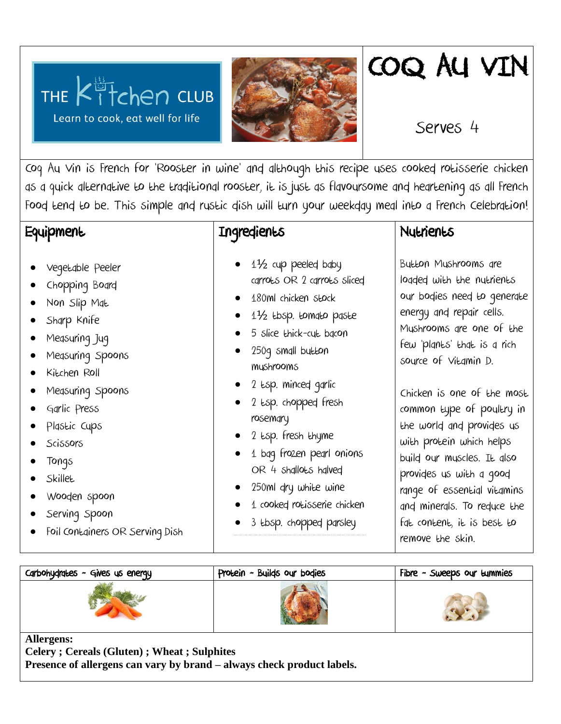



## COQ AU VIN

Serves 4

Coq Au Vin is French for 'Rooster in wine' and although this recipe uses cooked rotisserie chicken as a quick alternative to the traditional rooster, it is just as flavoursome and heartening as all French Food tend to be. This simple and rustic dish will turn your weekday meal into a French Celebration!

## **Equipment**

 Vegetable Peeler Chopping Board

 Non Slip Mat Sharp Knife

Measuring Jug

Kitchen Roll

 Garlic Press Plastic Cups

Scissors

 Tongs **Skillet** 

Measuring Spoons

Measuring Spoons

 Wooden spoon Serving Spoon

Foil Containers OR Serving Dish

- Ingredients
	- 1½ cup peeled baby carrots OR 2 carrots sliced
	- 180ml chicken stock
	- 1½ tbsp. tomato paste
	- 5 slice thick-cut bacon
	- 250g small button mushrooms
	- 2 tsp. minced garlic
	- 2 tsp. chopped fresh rosemary
	- 2 tsp. fresh thyme
	- 1 bag frozen pearl onions OR 4 shallots halved
	- 250ml dry white wine
	- 1 cooked rotisserie chicken
	- 3 tbsp. chopped parsley

## **Nutrients**

Button Mushrooms are loaded with the nutrients our bodies need to generate energy and repair cells. Mushrooms are one of the few 'plants' that is a rich source of Vitamin D.

Chicken is one of the most common type of poultry in the world and provides us with protein which helps build our muscles. It also provides us with a good range of essential vitamins and minerals. To reduce the fat content, it is best to remove the skin.

| Carbohydrates - Gives us energy                                    | Protein - Builds our bodies | Fibre - Sweeps our $t$ ummies |
|--------------------------------------------------------------------|-----------------------------|-------------------------------|
|                                                                    |                             |                               |
| <b>Allergens:</b><br>Colomy : Comools (Cluton) : Whoot : Sulphitos |                             |                               |

**Celery ; Cereals (Gluten) ; Wheat ; Sulphites Presence of allergens can vary by brand – always check product labels.**